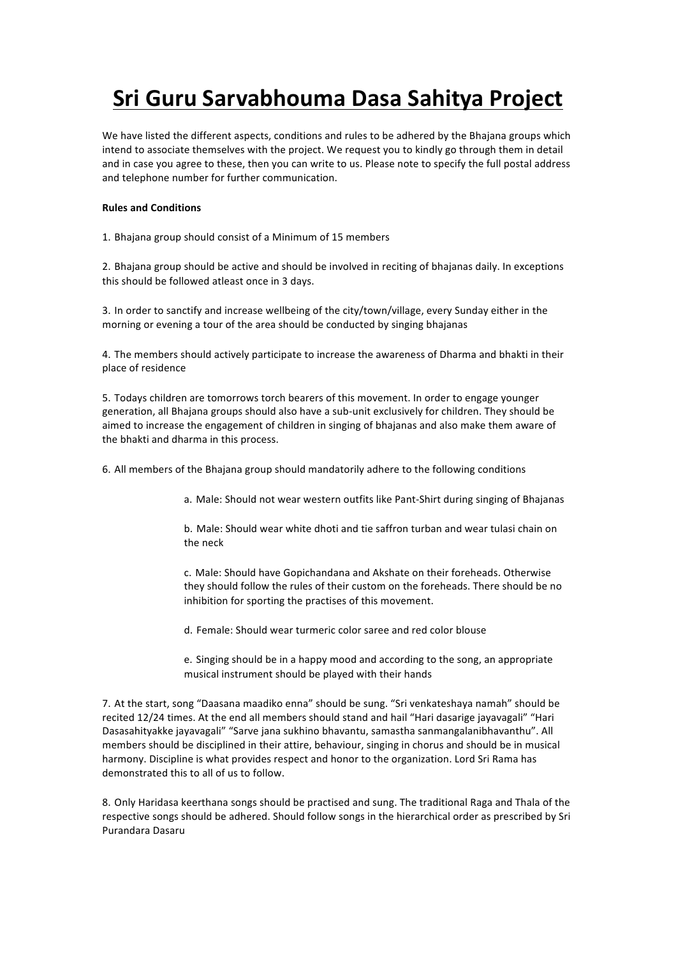## **Sri Guru Sarvabhouma Dasa Sahitya Project**

We have listed the different aspects, conditions and rules to be adhered by the Bhajana groups which intend to associate themselves with the project. We request you to kindly go through them in detail and in case you agree to these, then you can write to us. Please note to specify the full postal address and telephone number for further communication.

## **Rules and Conditions**

1. Bhajana group should consist of a Minimum of 15 members

2. Bhajana group should be active and should be involved in reciting of bhajanas daily. In exceptions this should be followed atleast once in 3 days.

3. In order to sanctify and increase wellbeing of the city/town/village, every Sunday either in the morning or evening a tour of the area should be conducted by singing bhajanas

4. The members should actively participate to increase the awareness of Dharma and bhakti in their place of residence

5. Todays children are tomorrows torch bearers of this movement. In order to engage younger generation, all Bhajana groups should also have a sub-unit exclusively for children. They should be aimed to increase the engagement of children in singing of bhajanas and also make them aware of the bhakti and dharma in this process.

6. All members of the Bhajana group should mandatorily adhere to the following conditions

a. Male: Should not wear western outfits like Pant-Shirt during singing of Bhajanas

b. Male: Should wear white dhoti and tie saffron turban and wear tulasi chain on the neck

c. Male: Should have Gopichandana and Akshate on their foreheads. Otherwise they should follow the rules of their custom on the foreheads. There should be no inhibition for sporting the practises of this movement.

d. Female: Should wear turmeric color saree and red color blouse

e. Singing should be in a happy mood and according to the song, an appropriate musical instrument should be played with their hands

7. At the start, song "Daasana maadiko enna" should be sung. "Sri venkateshaya namah" should be recited 12/24 times. At the end all members should stand and hail "Hari dasarige jayavagali" "Hari Dasasahityakke jayavagali" "Sarve jana sukhino bhavantu, samastha sanmangalanibhavanthu". All members should be disciplined in their attire, behaviour, singing in chorus and should be in musical harmony. Discipline is what provides respect and honor to the organization. Lord Sri Rama has demonstrated this to all of us to follow.

8. Only Haridasa keerthana songs should be practised and sung. The traditional Raga and Thala of the respective songs should be adhered. Should follow songs in the hierarchical order as prescribed by Sri Purandara Dasaru